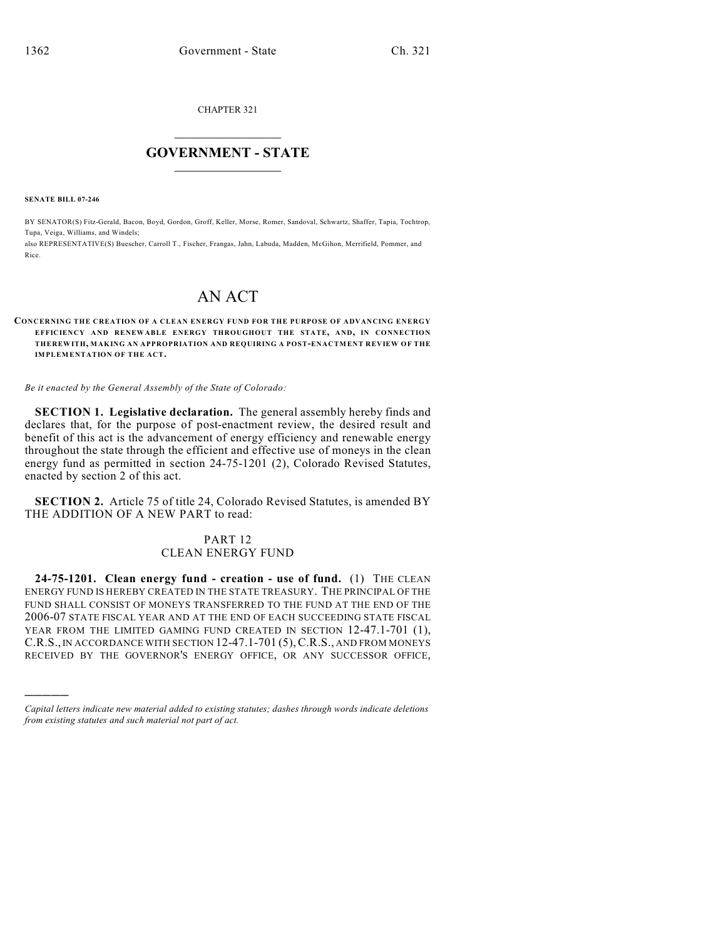CHAPTER 321

## $\overline{\phantom{a}}$  . The set of the set of the set of the set of the set of the set of the set of the set of the set of the set of the set of the set of the set of the set of the set of the set of the set of the set of the set o **GOVERNMENT - STATE**  $\_$

**SENATE BILL 07-246**

)))))

BY SENATOR(S) Fitz-Gerald, Bacon, Boyd, Gordon, Groff, Keller, Morse, Romer, Sandoval, Schwartz, Shaffer, Tapia, Tochtrop, Tupa, Veiga, Williams, and Windels;

also REPRESENTATIVE(S) Buescher, Carroll T., Fischer, Frangas, Jahn, Labuda, Madden, McGihon, Merrifield, Pommer, and Rice.

## AN ACT

## **CONCERNING THE CREATION OF A CLEAN ENERGY FUND FOR THE PURPOSE OF ADVANCING ENERGY EFFICIENCY AND RENEWABLE ENERGY THROUGHOUT THE STATE, AND, IN CONNECTION THEREWITH, MAKING AN APPROPRIATION AND REQUIRING A POST-ENACTMENT REVIEW OF THE IMPLEMENTATION OF THE ACT.**

*Be it enacted by the General Assembly of the State of Colorado:*

**SECTION 1. Legislative declaration.** The general assembly hereby finds and declares that, for the purpose of post-enactment review, the desired result and benefit of this act is the advancement of energy efficiency and renewable energy throughout the state through the efficient and effective use of moneys in the clean energy fund as permitted in section 24-75-1201 (2), Colorado Revised Statutes, enacted by section 2 of this act.

**SECTION 2.** Article 75 of title 24, Colorado Revised Statutes, is amended BY THE ADDITION OF A NEW PART to read:

## PART 12 CLEAN ENERGY FUND

**24-75-1201. Clean energy fund - creation - use of fund.** (1) THE CLEAN ENERGY FUND IS HEREBY CREATED IN THE STATE TREASURY. THE PRINCIPAL OF THE FUND SHALL CONSIST OF MONEYS TRANSFERRED TO THE FUND AT THE END OF THE 2006-07 STATE FISCAL YEAR AND AT THE END OF EACH SUCCEEDING STATE FISCAL YEAR FROM THE LIMITED GAMING FUND CREATED IN SECTION 12-47.1-701 (1), C.R.S., IN ACCORDANCE WITH SECTION 12-47.1-701 (5),C.R.S., AND FROM MONEYS RECEIVED BY THE GOVERNOR'S ENERGY OFFICE, OR ANY SUCCESSOR OFFICE,

*Capital letters indicate new material added to existing statutes; dashes through words indicate deletions from existing statutes and such material not part of act.*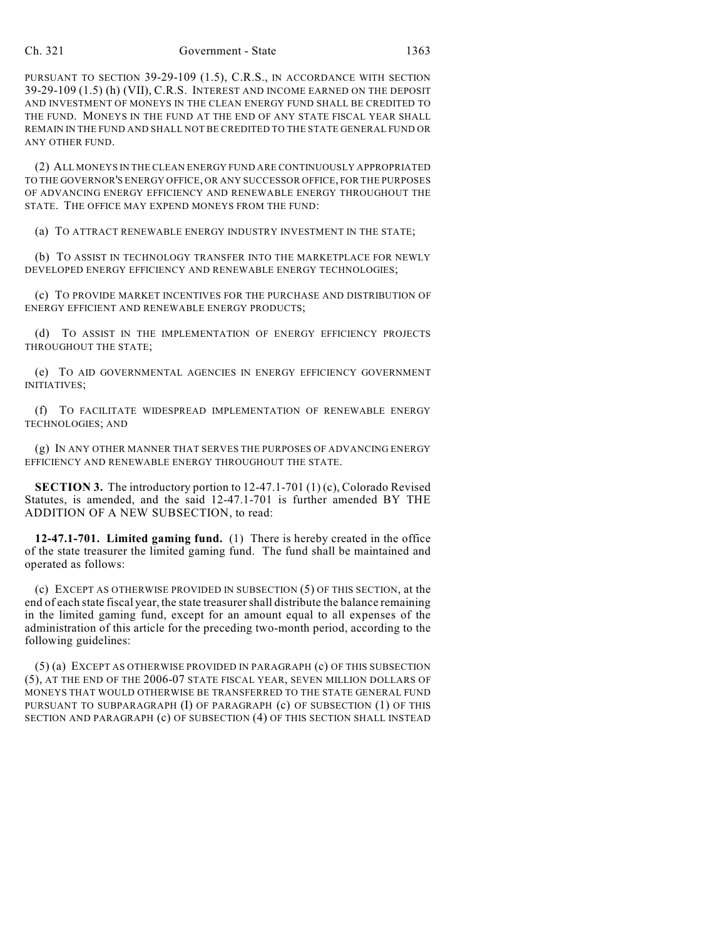PURSUANT TO SECTION 39-29-109 (1.5), C.R.S., IN ACCORDANCE WITH SECTION 39-29-109 (1.5) (h) (VII), C.R.S. INTEREST AND INCOME EARNED ON THE DEPOSIT AND INVESTMENT OF MONEYS IN THE CLEAN ENERGY FUND SHALL BE CREDITED TO THE FUND. MONEYS IN THE FUND AT THE END OF ANY STATE FISCAL YEAR SHALL REMAIN IN THE FUND AND SHALL NOT BE CREDITED TO THE STATE GENERAL FUND OR ANY OTHER FUND.

(2) ALL MONEYS IN THE CLEAN ENERGY FUND ARE CONTINUOUSLY APPROPRIATED TO THE GOVERNOR'S ENERGY OFFICE, OR ANY SUCCESSOR OFFICE, FOR THE PURPOSES OF ADVANCING ENERGY EFFICIENCY AND RENEWABLE ENERGY THROUGHOUT THE STATE. THE OFFICE MAY EXPEND MONEYS FROM THE FUND:

(a) TO ATTRACT RENEWABLE ENERGY INDUSTRY INVESTMENT IN THE STATE;

(b) TO ASSIST IN TECHNOLOGY TRANSFER INTO THE MARKETPLACE FOR NEWLY DEVELOPED ENERGY EFFICIENCY AND RENEWABLE ENERGY TECHNOLOGIES;

(c) TO PROVIDE MARKET INCENTIVES FOR THE PURCHASE AND DISTRIBUTION OF ENERGY EFFICIENT AND RENEWABLE ENERGY PRODUCTS;

(d) TO ASSIST IN THE IMPLEMENTATION OF ENERGY EFFICIENCY PROJECTS THROUGHOUT THE STATE;

(e) TO AID GOVERNMENTAL AGENCIES IN ENERGY EFFICIENCY GOVERNMENT INITIATIVES;

(f) TO FACILITATE WIDESPREAD IMPLEMENTATION OF RENEWABLE ENERGY TECHNOLOGIES; AND

(g) IN ANY OTHER MANNER THAT SERVES THE PURPOSES OF ADVANCING ENERGY EFFICIENCY AND RENEWABLE ENERGY THROUGHOUT THE STATE.

**SECTION 3.** The introductory portion to 12-47.1-701 (1) (c), Colorado Revised Statutes, is amended, and the said 12-47.1-701 is further amended BY THE ADDITION OF A NEW SUBSECTION, to read:

**12-47.1-701. Limited gaming fund.** (1) There is hereby created in the office of the state treasurer the limited gaming fund. The fund shall be maintained and operated as follows:

(c) EXCEPT AS OTHERWISE PROVIDED IN SUBSECTION (5) OF THIS SECTION, at the end of each state fiscal year, the state treasurer shall distribute the balance remaining in the limited gaming fund, except for an amount equal to all expenses of the administration of this article for the preceding two-month period, according to the following guidelines:

(5) (a) EXCEPT AS OTHERWISE PROVIDED IN PARAGRAPH (c) OF THIS SUBSECTION (5), AT THE END OF THE 2006-07 STATE FISCAL YEAR, SEVEN MILLION DOLLARS OF MONEYS THAT WOULD OTHERWISE BE TRANSFERRED TO THE STATE GENERAL FUND PURSUANT TO SUBPARAGRAPH (I) OF PARAGRAPH (c) OF SUBSECTION (1) OF THIS SECTION AND PARAGRAPH (c) OF SUBSECTION (4) OF THIS SECTION SHALL INSTEAD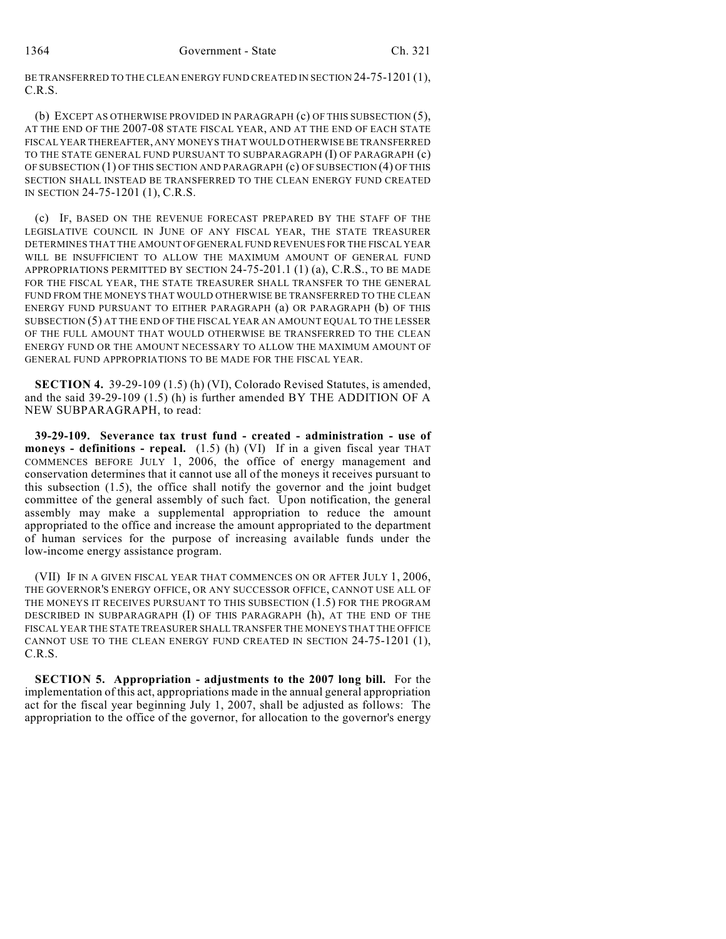BE TRANSFERRED TO THE CLEAN ENERGY FUND CREATED IN SECTION 24-75-1201 (1), C.R.S.

(b) EXCEPT AS OTHERWISE PROVIDED IN PARAGRAPH (c) OF THIS SUBSECTION (5), AT THE END OF THE 2007-08 STATE FISCAL YEAR, AND AT THE END OF EACH STATE FISCAL YEAR THEREAFTER, ANY MONEYS THAT WOULD OTHERWISE BE TRANSFERRED TO THE STATE GENERAL FUND PURSUANT TO SUBPARAGRAPH (I) OF PARAGRAPH (c) OF SUBSECTION (1) OF THIS SECTION AND PARAGRAPH (c) OF SUBSECTION (4) OF THIS SECTION SHALL INSTEAD BE TRANSFERRED TO THE CLEAN ENERGY FUND CREATED IN SECTION 24-75-1201 (1), C.R.S.

(c) IF, BASED ON THE REVENUE FORECAST PREPARED BY THE STAFF OF THE LEGISLATIVE COUNCIL IN JUNE OF ANY FISCAL YEAR, THE STATE TREASURER DETERMINES THAT THE AMOUNT OF GENERAL FUND REVENUES FOR THE FISCAL YEAR WILL BE INSUFFICIENT TO ALLOW THE MAXIMUM AMOUNT OF GENERAL FUND APPROPRIATIONS PERMITTED BY SECTION 24-75-201.1 (1) (a), C.R.S., TO BE MADE FOR THE FISCAL YEAR, THE STATE TREASURER SHALL TRANSFER TO THE GENERAL FUND FROM THE MONEYS THAT WOULD OTHERWISE BE TRANSFERRED TO THE CLEAN ENERGY FUND PURSUANT TO EITHER PARAGRAPH (a) OR PARAGRAPH (b) OF THIS SUBSECTION (5) AT THE END OF THE FISCAL YEAR AN AMOUNT EQUAL TO THE LESSER OF THE FULL AMOUNT THAT WOULD OTHERWISE BE TRANSFERRED TO THE CLEAN ENERGY FUND OR THE AMOUNT NECESSARY TO ALLOW THE MAXIMUM AMOUNT OF GENERAL FUND APPROPRIATIONS TO BE MADE FOR THE FISCAL YEAR.

**SECTION 4.** 39-29-109 (1.5) (h) (VI), Colorado Revised Statutes, is amended, and the said 39-29-109 (1.5) (h) is further amended BY THE ADDITION OF A NEW SUBPARAGRAPH, to read:

**39-29-109. Severance tax trust fund - created - administration - use of moneys - definitions - repeal.** (1.5) (h) (VI) If in a given fiscal year THAT COMMENCES BEFORE JULY 1, 2006, the office of energy management and conservation determines that it cannot use all of the moneys it receives pursuant to this subsection (1.5), the office shall notify the governor and the joint budget committee of the general assembly of such fact. Upon notification, the general assembly may make a supplemental appropriation to reduce the amount appropriated to the office and increase the amount appropriated to the department of human services for the purpose of increasing available funds under the low-income energy assistance program.

(VII) IF IN A GIVEN FISCAL YEAR THAT COMMENCES ON OR AFTER JULY 1, 2006, THE GOVERNOR'S ENERGY OFFICE, OR ANY SUCCESSOR OFFICE, CANNOT USE ALL OF THE MONEYS IT RECEIVES PURSUANT TO THIS SUBSECTION (1.5) FOR THE PROGRAM DESCRIBED IN SUBPARAGRAPH (I) OF THIS PARAGRAPH (h), AT THE END OF THE FISCAL YEAR THE STATE TREASURER SHALL TRANSFER THE MONEYS THAT THE OFFICE CANNOT USE TO THE CLEAN ENERGY FUND CREATED IN SECTION 24-75-1201 (1), C.R.S.

**SECTION 5. Appropriation - adjustments to the 2007 long bill.** For the implementation of this act, appropriations made in the annual general appropriation act for the fiscal year beginning July 1, 2007, shall be adjusted as follows: The appropriation to the office of the governor, for allocation to the governor's energy